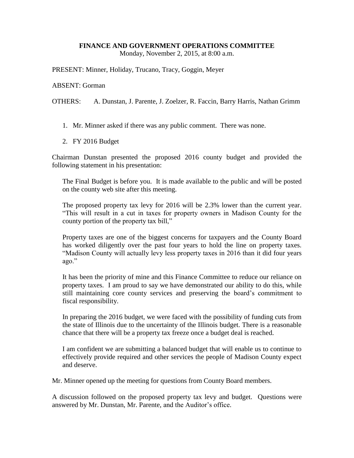## **FINANCE AND GOVERNMENT OPERATIONS COMMITTEE**

Monday, November 2, 2015, at 8:00 a.m.

PRESENT: Minner, Holiday, Trucano, Tracy, Goggin, Meyer

## ABSENT: Gorman

OTHERS: A. Dunstan, J. Parente, J. Zoelzer, R. Faccin, Barry Harris, Nathan Grimm

- 1. Mr. Minner asked if there was any public comment. There was none.
- 2. FY 2016 Budget

Chairman Dunstan presented the proposed 2016 county budget and provided the following statement in his presentation:

The Final Budget is before you. It is made available to the public and will be posted on the county web site after this meeting.

The proposed property tax levy for 2016 will be 2.3% lower than the current year. "This will result in a cut in taxes for property owners in Madison County for the county portion of the property tax bill,"

Property taxes are one of the biggest concerns for taxpayers and the County Board has worked diligently over the past four years to hold the line on property taxes. "Madison County will actually levy less property taxes in 2016 than it did four years ago."

It has been the priority of mine and this Finance Committee to reduce our reliance on property taxes. I am proud to say we have demonstrated our ability to do this, while still maintaining core county services and preserving the board's commitment to fiscal responsibility.

In preparing the 2016 budget, we were faced with the possibility of funding cuts from the state of Illinois due to the uncertainty of the Illinois budget. There is a reasonable chance that there will be a property tax freeze once a budget deal is reached.

I am confident we are submitting a balanced budget that will enable us to continue to effectively provide required and other services the people of Madison County expect and deserve.

Mr. Minner opened up the meeting for questions from County Board members.

A discussion followed on the proposed property tax levy and budget. Questions were answered by Mr. Dunstan, Mr. Parente, and the Auditor's office.